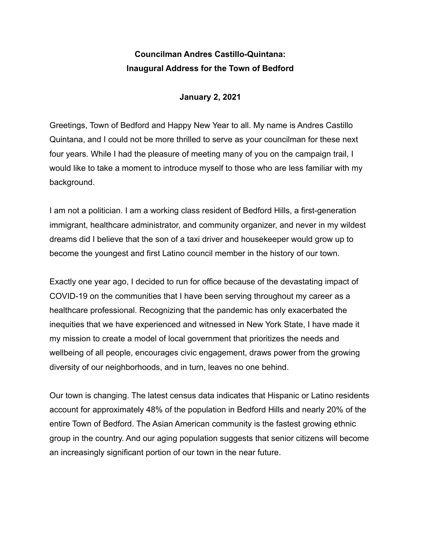## **Councilman Andres Castillo-Quintana: Inaugural Address for the Town of Bedford**

## **January 2, 2021**

Greetings, Town of Bedford and Happy New Year to all. My name is Andres Castillo Quintana, and I could not be more thrilled to serve as your councilman for these next four years. While I had the pleasure of meeting many of you on the campaign trail, I would like to take a moment to introduce myself to those who are less familiar with my background.

I am not a politician. I am a working class resident of Bedford Hills, a first-generation immigrant, healthcare administrator, and community organizer, and never in my wildest dreams did I believe that the son of a taxi driver and housekeeper would grow up to become the youngest and first Latino council member in the history of our town.

Exactly one year ago, I decided to run for office because of the devastating impact of COVID-19 on the communities that I have been serving throughout my career as a healthcare professional. Recognizing that the pandemic has only exacerbated the inequities that we have experienced and witnessed in New York State, I have made it my mission to create a model of local government that prioritizes the needs and wellbeing of all people, encourages civic engagement, draws power from the growing diversity of our neighborhoods, and in turn, leaves no one behind.

Our town is changing. The latest census data indicates that Hispanic or Latino residents account for approximately 48% of the population in Bedford Hills and nearly 20% of the entire Town of Bedford. The Asian American community is the fastest growing ethnic group in the country. And our aging population suggests that senior citizens will become an increasingly significant portion of our town in the near future.